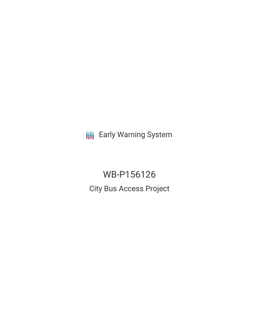**III** Early Warning System

WB-P156126 City Bus Access Project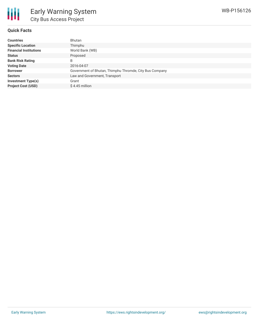

#### **Quick Facts**

| <b>Countries</b>              | Bhutan                                                  |
|-------------------------------|---------------------------------------------------------|
| <b>Specific Location</b>      | Thimphu                                                 |
| <b>Financial Institutions</b> | World Bank (WB)                                         |
| <b>Status</b>                 | Proposed                                                |
| <b>Bank Risk Rating</b>       | B                                                       |
| <b>Voting Date</b>            | 2016-04-07                                              |
| <b>Borrower</b>               | Government of Bhutan, Thimphu Thromde, City Bus Company |
| <b>Sectors</b>                | Law and Government, Transport                           |
| Investment Type(s)            | Grant                                                   |
| <b>Project Cost (USD)</b>     | $$4.45$ million                                         |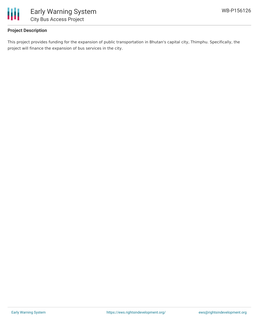

# **Project Description**

This project provides funding for the expansion of public transportation in Bhutan's capital city, Thimphu. Specifically, the project will finance the expansion of bus services in the city.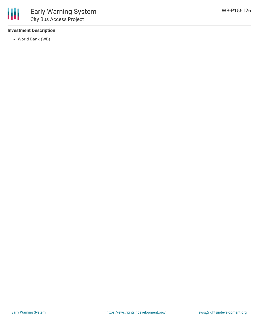### **Investment Description**

World Bank (WB)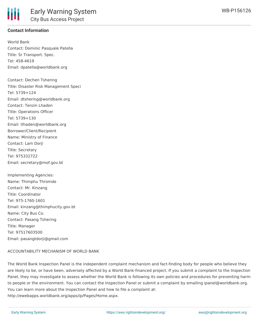

# **Contact Information**

World Bank Contact: Dominic Pasquale Patella Title: Sr Transport. Spec. Tel: 458-4619 Email: dpatella@worldbank.org

Contact: Dechen Tshering Title: Disaster Risk Management Speci Tel: 5739+124 Email: dtshering@worldbank.org Contact: Tenzin Lhaden Title: Operations Officer Tel: 5739+130 Email: tlhaden@worldbank.org Borrower/Client/Recipient Name: Ministry of Finance Contact: Lam Dorji Title: Secretary Tel: 975332722 Email: secretary@mof.gov.bt

Implementing Agencies: Name: Thimphu Thromde Contact: Mr. Kinzang Title: Coordinator Tel: 975-1760-1601 Email: kinzang@thimphucity.gov.bt Name: City Bus Co. Contact: Pasang Tshering Title: Manager Tel: 97517603500 Email: pasangtdorji@gmail.com

# ACCOUNTABILITY MECHANISM OF WORLD BANK

The World Bank Inspection Panel is the independent complaint mechanism and fact-finding body for people who believe they are likely to be, or have been, adversely affected by a World Bank-financed project. If you submit a complaint to the Inspection Panel, they may investigate to assess whether the World Bank is following its own policies and procedures for preventing harm to people or the environment. You can contact the Inspection Panel or submit a complaint by emailing ipanel@worldbank.org. You can learn more about the Inspection Panel and how to file a complaint at: http://ewebapps.worldbank.org/apps/ip/Pages/Home.aspx.